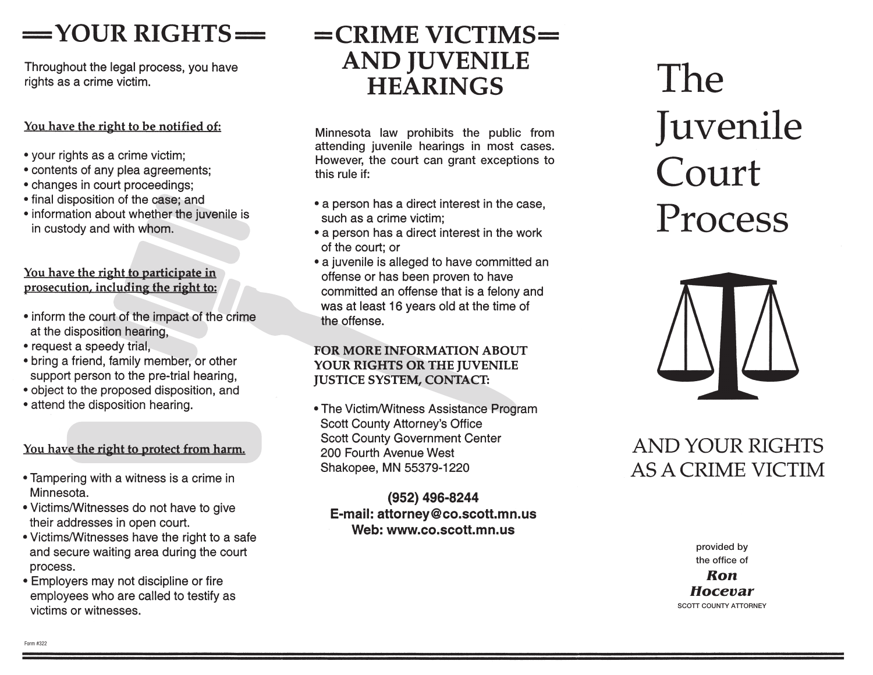# $=$  YOUR RIGHTS $=$

Throughout the legal process, you have rights as a crime victim.

#### You have the right to be notified of:

- your rights as a crime victim;
- contents of any plea agreements;
- changes in court proceedings;
- final disposition of the case; and
- information about whether the juvenile is in custody and with whom.

#### You have the right to participate in prosecution, including the right to:

- inform the court of the impact of the crime at the disposition hearing,
- request a speedy trial,
- bring a friend, family member, or other support person to the pre-trial hearing,
- object to the proposed disposition, and
- attend the disposition hearing.

#### You have the right to protect from harm.

- Tampering with a witness is a crime in Minnesota.
- Victims/Witnesses do not have to give their addresses in open court.
- Victims/Witnesses have the right to a safe and secure waiting area during the court process.
- Employers may not discipline or fire employees who are called to testify as victims or witnesses.

# $=$ CRIME VICTIMS $=$ **AND JUVENILE HEARINGS**

Minnesota law prohibits the public from attending juvenile hearings in most cases. However, the court can grant exceptions to this rule if:

- a person has a direct interest in the case, such as a crime victim:
- a person has a direct interest in the work of the court; or
- a juvenile is alleged to have committed an offense or has been proven to have committed an offense that is a felony and was at least 16 years old at the time of the offense.

#### **FOR MORE INFORMATION ABOUT** YOUR RIGHTS OR THE JUVENILE **JUSTICE SYSTEM, CONTACT:**

• The Victim/Witness Assistance Program **Scott County Attorney's Office Scott County Government Center** 200 Fourth Avenue West Shakopee, MN 55379-1220

(952) 496-8244 E-mail: attorney@co.scott.mn.us Web: www.co.scott.mn.us

# **The** Juvenile Court Process



## **AND YOUR RIGHTS AS A CRIME VICTIM**

provided by the office of **Ron** 

**Hocevar** SCOTT COUNTY ATTORNEY